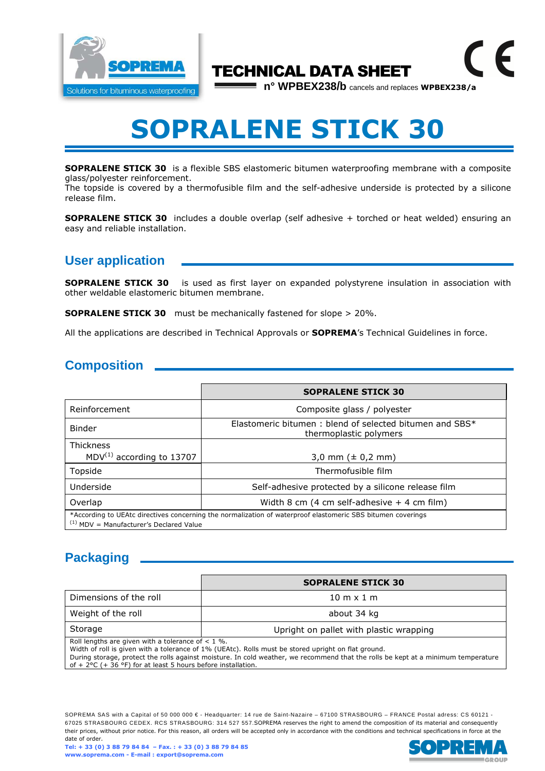

## TECHNICAL DATA SHEET

**n° WPBEX238/b** cancels and replaces **WPBEX238/a**

 $\epsilon$ 

# **SOPRALENE STICK 30**

**SOPRALENE STICK 30** is a flexible SBS elastomeric bitumen waterproofing membrane with a composite glass/polyester reinforcement.

The topside is covered by a thermofusible film and the self-adhesive underside is protected by a silicone release film.

**SOPRALENE STICK 30** includes a double overlap (self adhesive + torched or heat welded) ensuring an easy and reliable installation.

### **User application**

**SOPRALENE STICK 30** is used as first layer on expanded polystyrene insulation in association with other weldable elastomeric bitumen membrane.

**SOPRALENE STICK 30** must be mechanically fastened for slope > 20%.

All the applications are described in Technical Approvals or **SOPREMA**'s Technical Guidelines in force.

### **Composition**

|                                                    | <b>SOPRALENE STICK 30</b>                                                                                   |
|----------------------------------------------------|-------------------------------------------------------------------------------------------------------------|
| Reinforcement                                      | Composite glass / polyester                                                                                 |
| <b>Binder</b>                                      | Elastomeric bitumen: blend of selected bitumen and SBS*<br>thermoplastic polymers                           |
| <b>Thickness</b><br>$MDV^{(1)}$ according to 13707 | 3,0 mm $(\pm 0.2 \text{ mm})$                                                                               |
| Topside                                            | Thermofusible film                                                                                          |
| Underside                                          | Self-adhesive protected by a silicone release film                                                          |
| Overlap                                            | Width 8 cm $(4 \text{ cm} \text{ self-adhesive} + 4 \text{ cm film})$                                       |
| $(1)$ MDV = Manufacturer's Declared Value          | *According to UEAtc directives concerning the normalization of waterproof elastomeric SBS bitumen coverings |

### **Packaging**

|                                                                                                                                                                                                                                                                                                                                                                          | <b>SOPRALENE STICK 30</b>               |  |
|--------------------------------------------------------------------------------------------------------------------------------------------------------------------------------------------------------------------------------------------------------------------------------------------------------------------------------------------------------------------------|-----------------------------------------|--|
| Dimensions of the roll                                                                                                                                                                                                                                                                                                                                                   | $10 \text{ m} \times 1 \text{ m}$       |  |
| Weight of the roll                                                                                                                                                                                                                                                                                                                                                       | about 34 kg                             |  |
| Storage                                                                                                                                                                                                                                                                                                                                                                  | Upright on pallet with plastic wrapping |  |
| Roll lengths are given with a tolerance of $< 1$ %.<br>Width of roll is given with a tolerance of 1% (UEAtc). Rolls must be stored upright on flat ground.<br>During storage, protect the rolls against moisture. In cold weather, we recommend that the rolls be kept at a minimum temperature<br>of + $2^{\circ}C$ (+ 36 °F) for at least 5 hours before installation. |                                         |  |

SOPREMA SAS with a Capital of 50 000 000 € - Headquarter: 14 rue de Saint-Nazaire – 67100 STRASBOURG – FRANCE Postal adress: CS 60121 -67025 STRASBOURG CEDEX. RCS STRASBOURG: 314 527 557.SOPREMA reserves the right to amend the composition of its material and consequently their prices, without prior notice. For this reason, all orders will be accepted only in accordance with the conditions and technical specifications in force at the date of order.

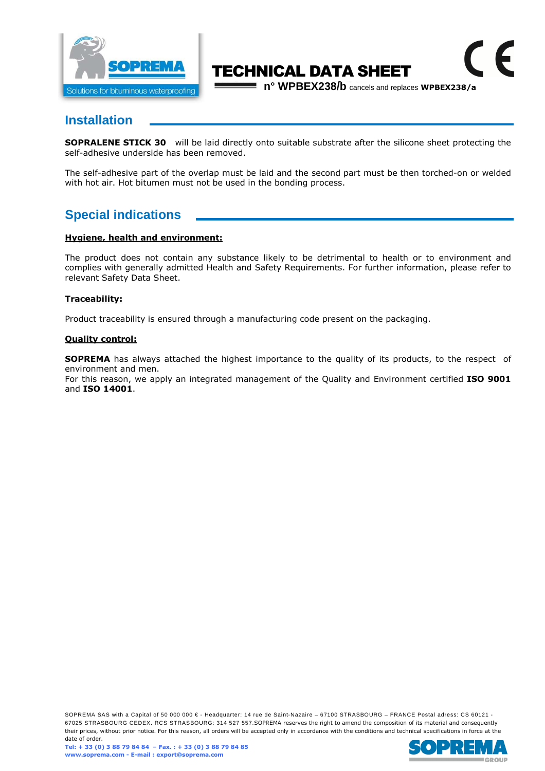

## TECHNICAL DATA SHEET

**n° WPBEX238/b** cancels and replaces **WPBEX238/a**

 $\epsilon$ 

#### **Installation**

**SOPRALENE STICK 30** will be laid directly onto suitable substrate after the silicone sheet protecting the self-adhesive underside has been removed.

The self-adhesive part of the overlap must be laid and the second part must be then torched-on or welded with hot air. Hot bitumen must not be used in the bonding process.

#### **Special indications**

#### **Hygiene, health and environment:**

The product does not contain any substance likely to be detrimental to health or to environment and complies with generally admitted Health and Safety Requirements. For further information, please refer to relevant Safety Data Sheet.

#### **Traceability:**

Product traceability is ensured through a manufacturing code present on the packaging.

#### **Quality control:**

**SOPREMA** has always attached the highest importance to the quality of its products, to the respect of environment and men.

For this reason, we apply an integrated management of the Quality and Environment certified **ISO 9001**  and **ISO 14001**.